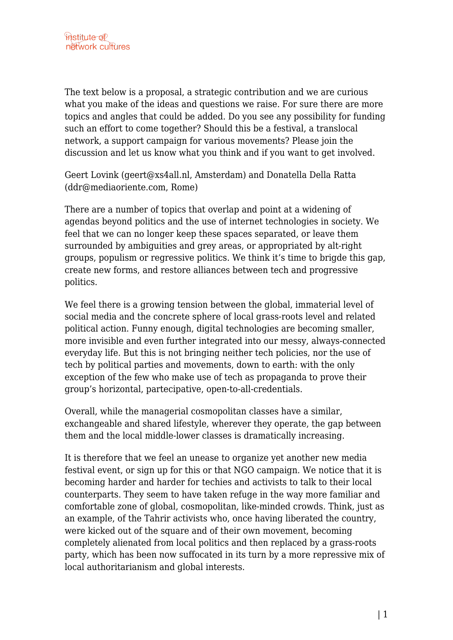The text below is a proposal, a strategic contribution and we are curious what you make of the ideas and questions we raise. For sure there are more topics and angles that could be added. Do you see any possibility for funding such an effort to come together? Should this be a festival, a translocal network, a support campaign for various movements? Please join the discussion and let us know what you think and if you want to get involved.

Geert Lovink (geert@xs4all.nl, Amsterdam) and Donatella Della Ratta (ddr@mediaoriente.com, Rome)

There are a number of topics that overlap and point at a widening of agendas beyond politics and the use of internet technologies in society. We feel that we can no longer keep these spaces separated, or leave them surrounded by ambiguities and grey areas, or appropriated by alt-right groups, populism or regressive politics. We think it's time to brigde this gap, create new forms, and restore alliances between tech and progressive politics.

We feel there is a growing tension between the global, immaterial level of social media and the concrete sphere of local grass-roots level and related political action. Funny enough, digital technologies are becoming smaller, more invisible and even further integrated into our messy, always-connected everyday life. But this is not bringing neither tech policies, nor the use of tech by political parties and movements, down to earth: with the only exception of the few who make use of tech as propaganda to prove their group's horizontal, partecipative, open-to-all-credentials.

Overall, while the managerial cosmopolitan classes have a similar, exchangeable and shared lifestyle, wherever they operate, the gap between them and the local middle-lower classes is dramatically increasing.

It is therefore that we feel an unease to organize yet another new media festival event, or sign up for this or that NGO campaign. We notice that it is becoming harder and harder for techies and activists to talk to their local counterparts. They seem to have taken refuge in the way more familiar and comfortable zone of global, cosmopolitan, like-minded crowds. Think, just as an example, of the Tahrir activists who, once having liberated the country, were kicked out of the square and of their own movement, becoming completely alienated from local politics and then replaced by a grass-roots party, which has been now suffocated in its turn by a more repressive mix of local authoritarianism and global interests.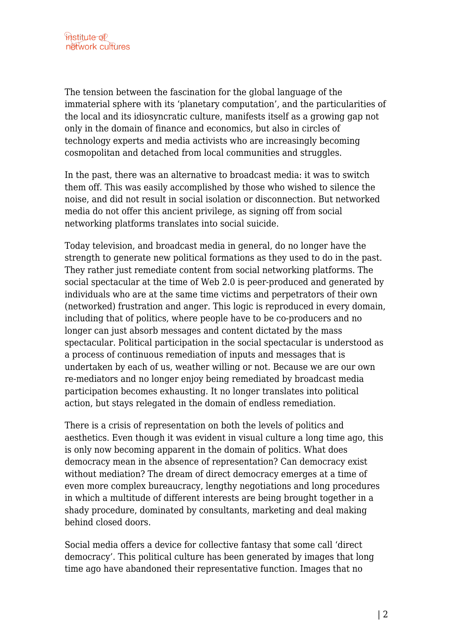The tension between the fascination for the global language of the immaterial sphere with its 'planetary computation', and the particularities of the local and its idiosyncratic culture, manifests itself as a growing gap not only in the domain of finance and economics, but also in circles of technology experts and media activists who are increasingly becoming cosmopolitan and detached from local communities and struggles.

In the past, there was an alternative to broadcast media: it was to switch them off. This was easily accomplished by those who wished to silence the noise, and did not result in social isolation or disconnection. But networked media do not offer this ancient privilege, as signing off from social networking platforms translates into social suicide.

Today television, and broadcast media in general, do no longer have the strength to generate new political formations as they used to do in the past. They rather just remediate content from social networking platforms. The social spectacular at the time of Web 2.0 is peer-produced and generated by individuals who are at the same time victims and perpetrators of their own (networked) frustration and anger. This logic is reproduced in every domain, including that of politics, where people have to be co-producers and no longer can just absorb messages and content dictated by the mass spectacular. Political participation in the social spectacular is understood as a process of continuous remediation of inputs and messages that is undertaken by each of us, weather willing or not. Because we are our own re-mediators and no longer enjoy being remediated by broadcast media participation becomes exhausting. It no longer translates into political action, but stays relegated in the domain of endless remediation.

There is a crisis of representation on both the levels of politics and aesthetics. Even though it was evident in visual culture a long time ago, this is only now becoming apparent in the domain of politics. What does democracy mean in the absence of representation? Can democracy exist without mediation? The dream of direct democracy emerges at a time of even more complex bureaucracy, lengthy negotiations and long procedures in which a multitude of different interests are being brought together in a shady procedure, dominated by consultants, marketing and deal making behind closed doors.

Social media offers a device for collective fantasy that some call 'direct democracy'. This political culture has been generated by images that long time ago have abandoned their representative function. Images that no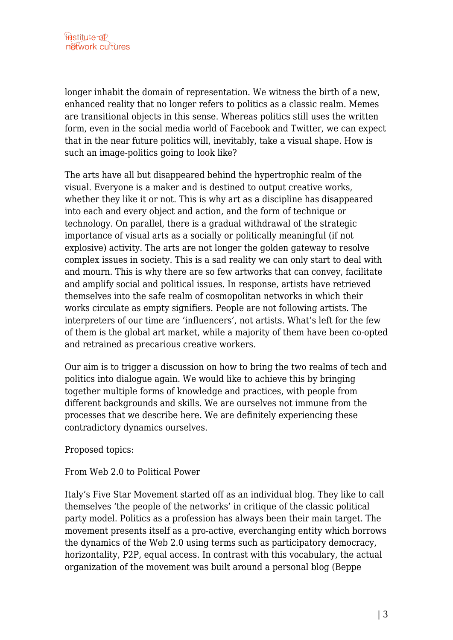longer inhabit the domain of representation. We witness the birth of a new, enhanced reality that no longer refers to politics as a classic realm. Memes are transitional objects in this sense. Whereas politics still uses the written form, even in the social media world of Facebook and Twitter, we can expect that in the near future politics will, inevitably, take a visual shape. How is such an image-politics going to look like?

The arts have all but disappeared behind the hypertrophic realm of the visual. Everyone is a maker and is destined to output creative works, whether they like it or not. This is why art as a discipline has disappeared into each and every object and action, and the form of technique or technology. On parallel, there is a gradual withdrawal of the strategic importance of visual arts as a socially or politically meaningful (if not explosive) activity. The arts are not longer the golden gateway to resolve complex issues in society. This is a sad reality we can only start to deal with and mourn. This is why there are so few artworks that can convey, facilitate and amplify social and political issues. In response, artists have retrieved themselves into the safe realm of cosmopolitan networks in which their works circulate as empty signifiers. People are not following artists. The interpreters of our time are 'influencers', not artists. What's left for the few of them is the global art market, while a majority of them have been co-opted and retrained as precarious creative workers.

Our aim is to trigger a discussion on how to bring the two realms of tech and politics into dialogue again. We would like to achieve this by bringing together multiple forms of knowledge and practices, with people from different backgrounds and skills. We are ourselves not immune from the processes that we describe here. We are definitely experiencing these contradictory dynamics ourselves.

Proposed topics:

From Web 2.0 to Political Power

Italy's Five Star Movement started off as an individual blog. They like to call themselves 'the people of the networks' in critique of the classic political party model. Politics as a profession has always been their main target. The movement presents itself as a pro-active, everchanging entity which borrows the dynamics of the Web 2.0 using terms such as participatory democracy, horizontality, P2P, equal access. In contrast with this vocabulary, the actual organization of the movement was built around a personal blog (Beppe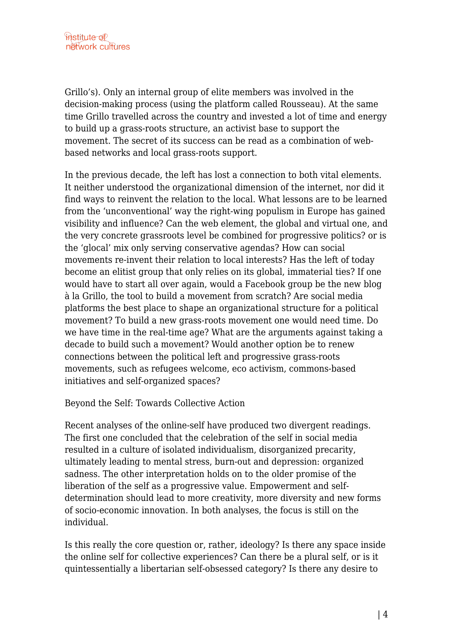Grillo's). Only an internal group of elite members was involved in the decision-making process (using the platform called Rousseau). At the same time Grillo travelled across the country and invested a lot of time and energy to build up a grass-roots structure, an activist base to support the movement. The secret of its success can be read as a combination of webbased networks and local grass-roots support.

In the previous decade, the left has lost a connection to both vital elements. It neither understood the organizational dimension of the internet, nor did it find ways to reinvent the relation to the local. What lessons are to be learned from the 'unconventional' way the right-wing populism in Europe has gained visibility and influence? Can the web element, the global and virtual one, and the very concrete grassroots level be combined for progressive politics? or is the 'glocal' mix only serving conservative agendas? How can social movements re-invent their relation to local interests? Has the left of today become an elitist group that only relies on its global, immaterial ties? If one would have to start all over again, would a Facebook group be the new blog à la Grillo, the tool to build a movement from scratch? Are social media platforms the best place to shape an organizational structure for a political movement? To build a new grass-roots movement one would need time. Do we have time in the real-time age? What are the arguments against taking a decade to build such a movement? Would another option be to renew connections between the political left and progressive grass-roots movements, such as refugees welcome, eco activism, commons-based initiatives and self-organized spaces?

## Beyond the Self: Towards Collective Action

Recent analyses of the online-self have produced two divergent readings. The first one concluded that the celebration of the self in social media resulted in a culture of isolated individualism, disorganized precarity, ultimately leading to mental stress, burn-out and depression: organized sadness. The other interpretation holds on to the older promise of the liberation of the self as a progressive value. Empowerment and selfdetermination should lead to more creativity, more diversity and new forms of socio-economic innovation. In both analyses, the focus is still on the individual.

Is this really the core question or, rather, ideology? Is there any space inside the online self for collective experiences? Can there be a plural self, or is it quintessentially a libertarian self-obsessed category? Is there any desire to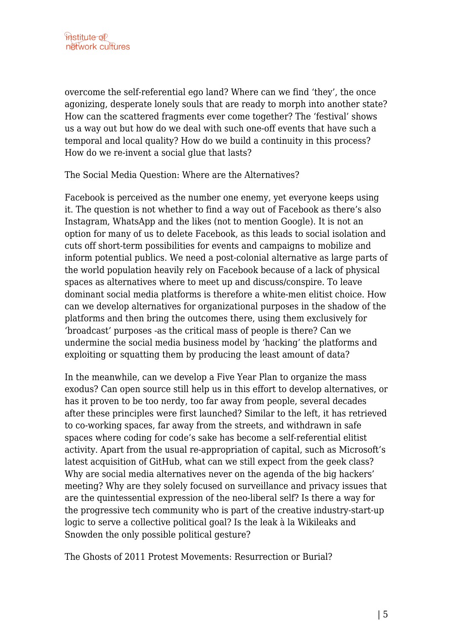overcome the self-referential ego land? Where can we find 'they', the once agonizing, desperate lonely souls that are ready to morph into another state? How can the scattered fragments ever come together? The 'festival' shows us a way out but how do we deal with such one-off events that have such a temporal and local quality? How do we build a continuity in this process? How do we re-invent a social glue that lasts?

The Social Media Question: Where are the Alternatives?

Facebook is perceived as the number one enemy, yet everyone keeps using it. The question is not whether to find a way out of Facebook as there's also Instagram, WhatsApp and the likes (not to mention Google). It is not an option for many of us to delete Facebook, as this leads to social isolation and cuts off short-term possibilities for events and campaigns to mobilize and inform potential publics. We need a post-colonial alternative as large parts of the world population heavily rely on Facebook because of a lack of physical spaces as alternatives where to meet up and discuss/conspire. To leave dominant social media platforms is therefore a white-men elitist choice. How can we develop alternatives for organizational purposes in the shadow of the platforms and then bring the outcomes there, using them exclusively for 'broadcast' purposes -as the critical mass of people is there? Can we undermine the social media business model by 'hacking' the platforms and exploiting or squatting them by producing the least amount of data?

In the meanwhile, can we develop a Five Year Plan to organize the mass exodus? Can open source still help us in this effort to develop alternatives, or has it proven to be too nerdy, too far away from people, several decades after these principles were first launched? Similar to the left, it has retrieved to co-working spaces, far away from the streets, and withdrawn in safe spaces where coding for code's sake has become a self-referential elitist activity. Apart from the usual re-appropriation of capital, such as Microsoft's latest acquisition of GitHub, what can we still expect from the geek class? Why are social media alternatives never on the agenda of the big hackers' meeting? Why are they solely focused on surveillance and privacy issues that are the quintessential expression of the neo-liberal self? Is there a way for the progressive tech community who is part of the creative industry-start-up logic to serve a collective political goal? Is the leak à la Wikileaks and Snowden the only possible political gesture?

The Ghosts of 2011 Protest Movements: Resurrection or Burial?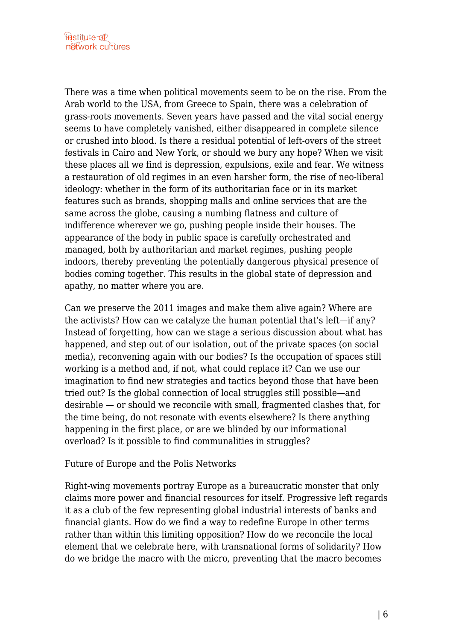There was a time when political movements seem to be on the rise. From the Arab world to the USA, from Greece to Spain, there was a celebration of grass-roots movements. Seven years have passed and the vital social energy seems to have completely vanished, either disappeared in complete silence or crushed into blood. Is there a residual potential of left-overs of the street festivals in Cairo and New York, or should we bury any hope? When we visit these places all we find is depression, expulsions, exile and fear. We witness a restauration of old regimes in an even harsher form, the rise of neo-liberal ideology: whether in the form of its authoritarian face or in its market features such as brands, shopping malls and online services that are the same across the globe, causing a numbing flatness and culture of indifference wherever we go, pushing people inside their houses. The appearance of the body in public space is carefully orchestrated and managed, both by authoritarian and market regimes, pushing people indoors, thereby preventing the potentially dangerous physical presence of bodies coming together. This results in the global state of depression and apathy, no matter where you are.

Can we preserve the 2011 images and make them alive again? Where are the activists? How can we catalyze the human potential that's left—if any? Instead of forgetting, how can we stage a serious discussion about what has happened, and step out of our isolation, out of the private spaces (on social media), reconvening again with our bodies? Is the occupation of spaces still working is a method and, if not, what could replace it? Can we use our imagination to find new strategies and tactics beyond those that have been tried out? Is the global connection of local struggles still possible—and desirable — or should we reconcile with small, fragmented clashes that, for the time being, do not resonate with events elsewhere? Is there anything happening in the first place, or are we blinded by our informational overload? Is it possible to find communalities in struggles?

## Future of Europe and the Polis Networks

Right-wing movements portray Europe as a bureaucratic monster that only claims more power and financial resources for itself. Progressive left regards it as a club of the few representing global industrial interests of banks and financial giants. How do we find a way to redefine Europe in other terms rather than within this limiting opposition? How do we reconcile the local element that we celebrate here, with transnational forms of solidarity? How do we bridge the macro with the micro, preventing that the macro becomes